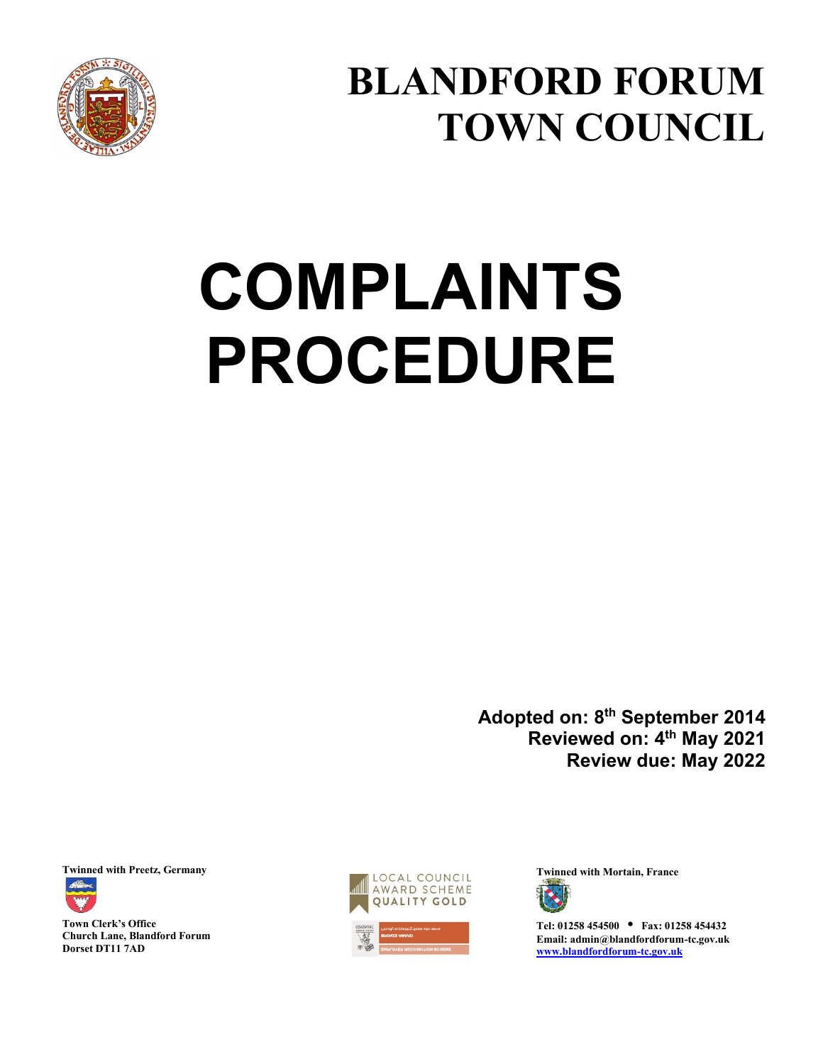

**BLANDFORD FORUM TOWN COUNCIL**

# **COMPLAINTS PROCEDURE**

**Adopted on: 8th September 2014 Reviewed on: 4th May 2021 Review due: May 2022** 



**Town Clerk's Office Church Lane, Blandford Forum Dorset DT11 7AD** 





**Tel: 01258 454500 • Fax: 01258 454432 Email: admin@blandfordforum-tc.gov.uk [www.blandfordforum-tc.gov.uk](http://www.blandfordforum-tc.gov.uk/)**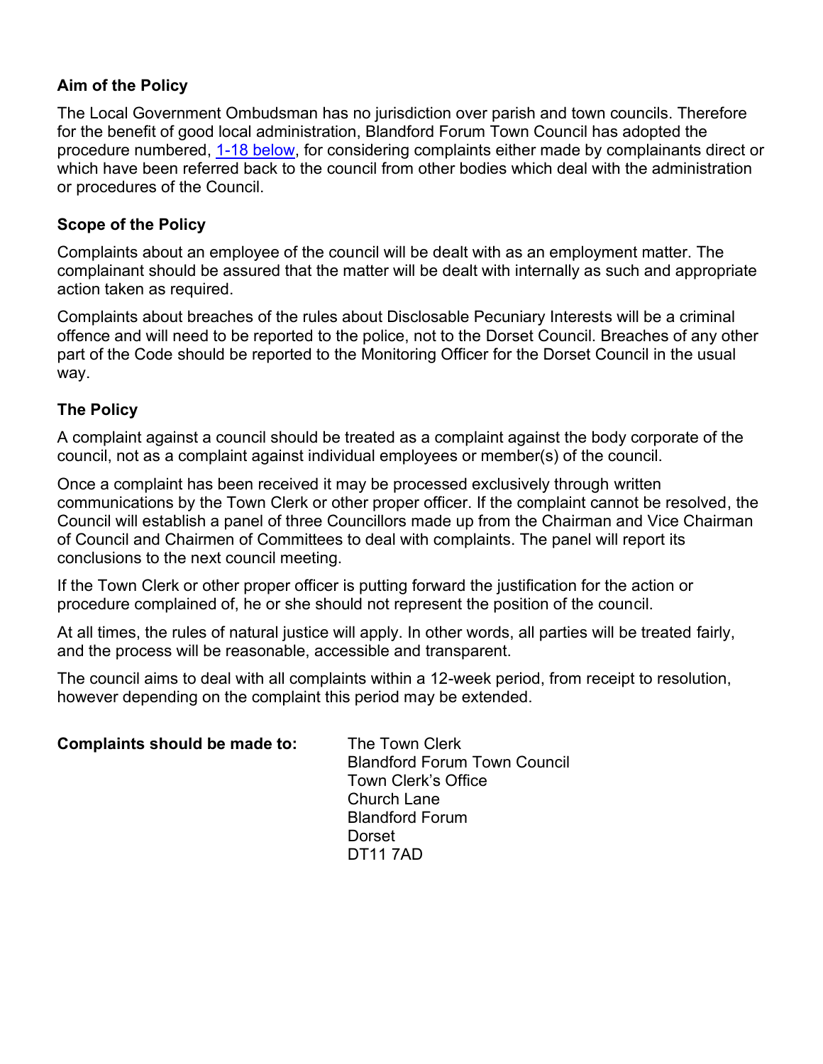## **Aim of the Policy**

The Local Government Ombudsman has no jurisdiction over parish and town councils. Therefore for the benefit of good local administration, Blandford Forum Town Council has adopted the procedure numbered, [1-18 below,](#page-2-0) for considering complaints either made by complainants direct or which have been referred back to the council from other bodies which deal with the administration or procedures of the Council.

## **Scope of the Policy**

Complaints about an employee of the council will be dealt with as an employment matter. The complainant should be assured that the matter will be dealt with internally as such and appropriate action taken as required.

Complaints about breaches of the rules about Disclosable Pecuniary Interests will be a criminal offence and will need to be reported to the police, not to the Dorset Council. Breaches of any other part of the Code should be reported to the Monitoring Officer for the Dorset Council in the usual way.

## **The Policy**

A complaint against a council should be treated as a complaint against the body corporate of the council, not as a complaint against individual employees or member(s) of the council.

Once a complaint has been received it may be processed exclusively through written communications by the Town Clerk or other proper officer. If the complaint cannot be resolved, the Council will establish a panel of three Councillors made up from the Chairman and Vice Chairman of Council and Chairmen of Committees to deal with complaints. The panel will report its conclusions to the next council meeting.

If the Town Clerk or other proper officer is putting forward the justification for the action or procedure complained of, he or she should not represent the position of the council.

At all times, the rules of natural justice will apply. In other words, all parties will be treated fairly, and the process will be reasonable, accessible and transparent.

The council aims to deal with all complaints within a 12-week period, from receipt to resolution, however depending on the complaint this period may be extended.

| Complaints should be made to: | The Town Clerk<br><b>Blandford Forum Town Council</b><br><b>Town Clerk's Office</b><br><b>Church Lane</b><br><b>Blandford Forum</b> |
|-------------------------------|-------------------------------------------------------------------------------------------------------------------------------------|
|                               |                                                                                                                                     |
|                               | Dorset                                                                                                                              |

DT11 7AD